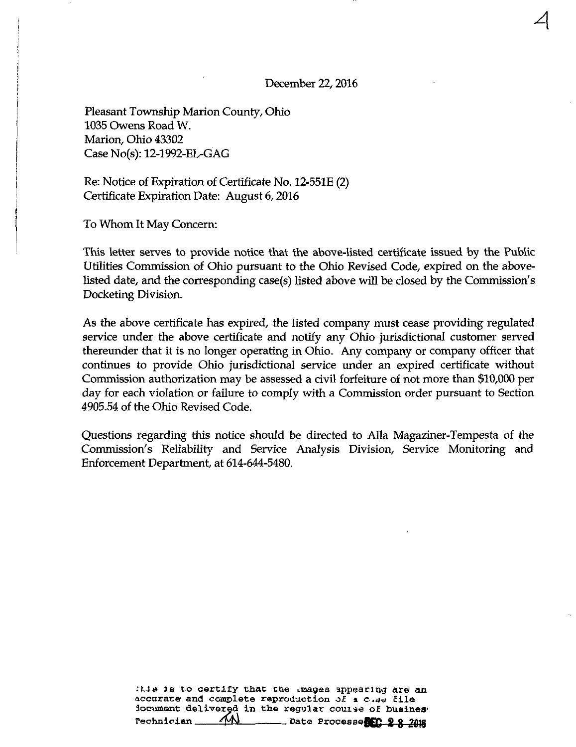December 22,2016

 $\overline{\mathcal{A}}$ 

Pleasant Township Marion County, Ohio 1035 Owens Road W. Marion, Ohio 43302 Case No(s): 12-1992-EL-GAG

Re: Notice of Expiration of Certificate No. 12-551E (2) Certificate Expiration Date: August 6,2016

To Whom It May Concern:

This letter serves to provide notice that the above-listed certificate issued by the Public Utilities Commission of Ohio pursuant to the Ohio Revised Code, expired on the abovelisted date, and the corresponding case(s) listed above will be closed by the Commission's Docketing Division.

As the above certificate has expired, the listed company must cease providing regulated service under the above certificate and notify any Ohio jurisdictional customer served thereunder that it is no longer operating in Ohio. Any company or company officer that continues to provide Ohio jurisdictional service under an expired certificate without Commission authorization may be assessed a civil forfeiture of not more than \$10,000 per day for each violation or failure to comply with a Commission order pursuant to Section 4905.54 of the Ohio Revised Code.

Questions regarding this notice should be directed to Alia Magaziner-Tempesta of the Commission's Reliability and Service Analysis Division, Service Monitoring and Enforcement Department, at 614-644-5480.

> :tis is to certify that the images appearing are an accurate and complete reproduction of a case file document delivered in the regular couise of busines  $r = r$ echnician  $\sqrt{N}$  Date Processe $f_{r}$  2 g 2018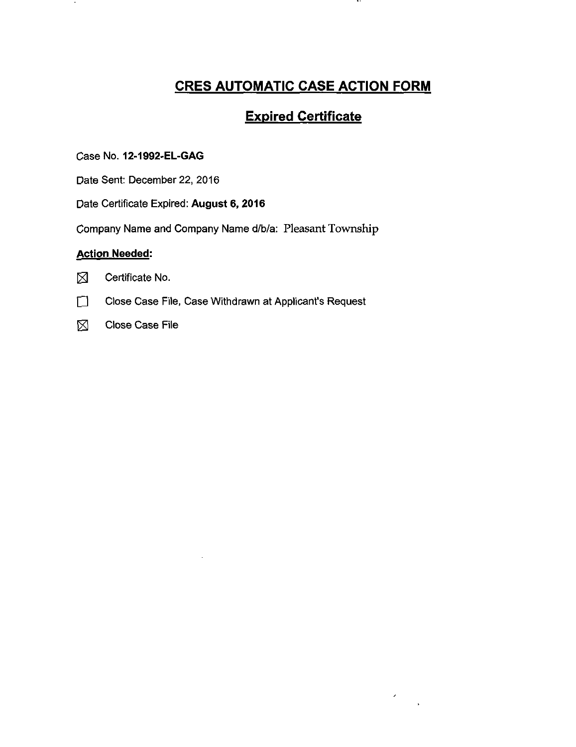# CRES AUTOMATIC CASE ACTION FORM

 $\ddot{\phantom{1}}$ 

 $\bar{\mathcal{L}}$ 

## Expired Certificate

Case No. 12-1992-EL-GAG

Date Sent: December 22, 2016

Date Certificate Expired: August 6, 2016

Company Name and Company Name d/b/a: Pleasant Township

#### Action Needed:



- **1 Close Case File, Case Withdrawn at Applicant's Request**
- $\boxtimes$  Close Case File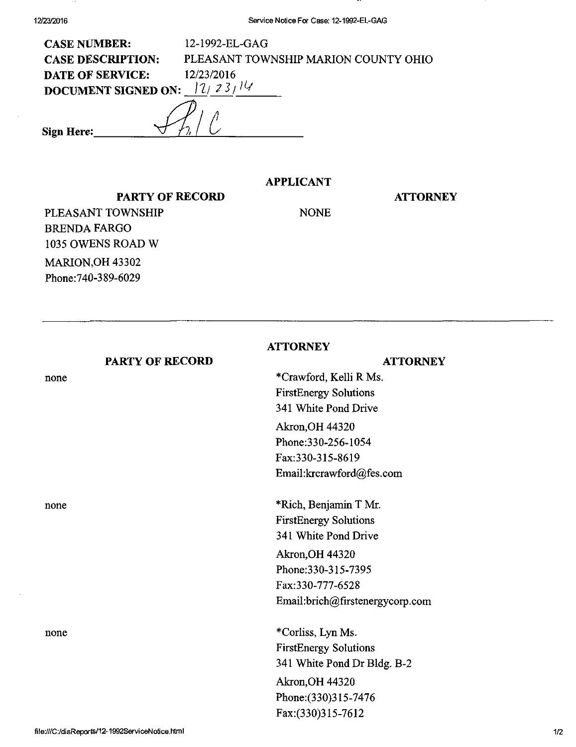| <b>CASE NUMBER:</b>                    | 12-1992-EL-GAG                       |  |
|----------------------------------------|--------------------------------------|--|
| <b>CASE DESCRIPTION:</b>               | PLEASANT TOWNSHIP MARION COUNTY OHIO |  |
| <b>DATE OF SERVICE:</b>                | 12/23/2016                           |  |
| 12/23/14<br><b>DOCUMENT SIGNED ON:</b> |                                      |  |
| Sign Here:                             |                                      |  |
|                                        |                                      |  |

## APPLICANT

### PARTY OF RECORD

#### **ATTORNEY**

PLEASANT TOWNSHIP BRENDA FARGO 1035 OWENS ROAD W MARION, OH 43302 Phone:740-389-6029

NONE

|      |                        | <b>ATTORNEY</b>                 |
|------|------------------------|---------------------------------|
|      | <b>PARTY OF RECORD</b> | <b>ATTORNEY</b>                 |
| none |                        | *Crawford, Kelli R Ms.          |
|      |                        | <b>FirstEnergy Solutions</b>    |
|      |                        | 341 White Pond Drive            |
|      |                        | <b>Akron, OH 44320</b>          |
|      |                        | Phone: 330-256-1054             |
|      |                        | Fax:330-315-8619                |
|      |                        | Email:krcrawford@fes.com        |
| none |                        | *Rich, Benjamin T Mr.           |
|      |                        | <b>FirstEnergy Solutions</b>    |
|      |                        | 341 White Pond Drive            |
|      |                        | <b>Akron, OH 44320</b>          |
|      |                        | Phone: 330-315-7395             |
|      |                        | Fax:330-777-6528                |
|      |                        | Email:brich@firstenergycorp.com |
| none |                        | *Corliss, Lyn Ms.               |
|      |                        | <b>FirstEnergy Solutions</b>    |
|      |                        | 341 White Pond Dr Bldg. B-2     |
|      |                        | Akron, OH 44320                 |
|      |                        | Phone: (330)315-7476            |
|      |                        | Fax:(330)315-7612               |
|      |                        |                                 |